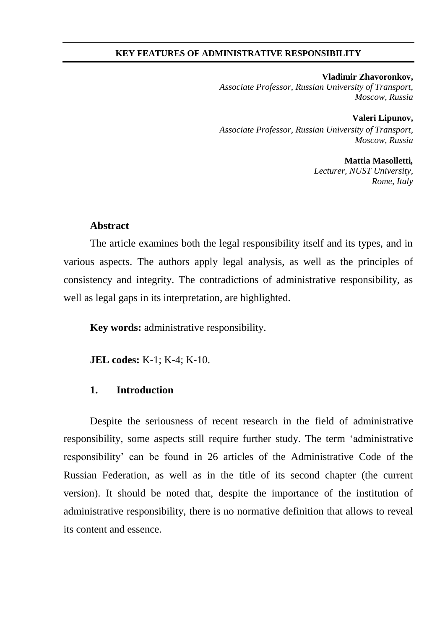#### **KEY FEATURES OF ADMINISTRATIVE RESPONSIBILITY**

**Vladimir Zhavoronkov,** *Associate Professor, Russian University of Transport, Moscow, Russia* 

**Valeri Lipunov,**  *Associate Professor, Russian University of Transport, Moscow, Russia* 

> **Mattia Masolletti***, Lecturer, NUST University, Rome, Italy*

# **Abstract**

The article examines both the legal responsibility itself and its types, and in various aspects. The authors apply legal analysis, as well as the principles of consistency and integrity. The contradictions of administrative responsibility, as well as legal gaps in its interpretation, are highlighted.

**Key words:** administrative responsibility.

**JEL codes:** K-1; K-4; K-10.

# **1. Introduction**

Despite the seriousness of recent research in the field of administrative responsibility, some aspects still require further study. The term 'administrative responsibility' can be found in 26 articles of the Administrative Code of the Russian Federation, as well as in the title of its second chapter (the current version). It should be noted that, despite the importance of the institution of administrative responsibility, there is no normative definition that allows to reveal its content and essence.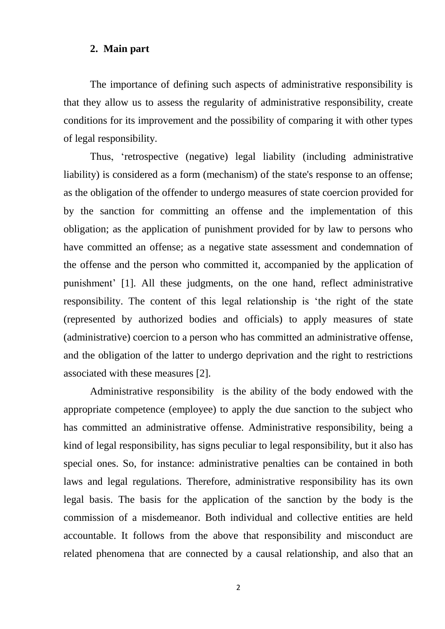#### **2. Main part**

The importance of defining such aspects of administrative responsibility is that they allow us to assess the regularity of administrative responsibility, create conditions for its improvement and the possibility of comparing it with other types of legal responsibility.

Thus, 'retrospective (negative) legal liability (including administrative liability) is considered as a form (mechanism) of the state's response to an offense; as the obligation of the offender to undergo measures of state coercion provided for by the sanction for committing an offense and the implementation of this obligation; as the application of punishment provided for by law to persons who have committed an offense; as a negative state assessment and condemnation of the offense and the person who committed it, accompanied by the application of punishment' [1]. All these judgments, on the one hand, reflect administrative responsibility. The content of this legal relationship is 'the right of the state (represented by authorized bodies and officials) to apply measures of state (administrative) coercion to a person who has committed an administrative offense, and the obligation of the latter to undergo deprivation and the right to restrictions associated with these measures [2].

Administrative responsibility is the ability of the body endowed with the appropriate competence (employee) to apply the due sanction to the subject who has committed an administrative offense. Administrative responsibility, being a kind of legal responsibility, has signs peculiar to legal responsibility, but it also has special ones. So, for instance: administrative penalties can be contained in both laws and legal regulations. Therefore, administrative responsibility has its own legal basis. The basis for the application of the sanction by the body is the commission of a misdemeanor. Both individual and collective entities are held accountable. It follows from the above that responsibility and misconduct are related phenomena that are connected by a causal relationship, and also that an

2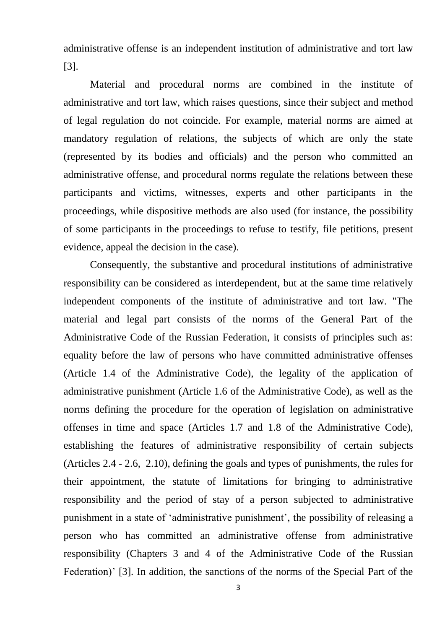administrative offense is an independent institution of administrative and tort law [3].

Material and procedural norms are combined in the institute of administrative and tort law, which raises questions, since their subject and method of legal regulation do not coincide. For example, material norms are aimed at mandatory regulation of relations, the subjects of which are only the state (represented by its bodies and officials) and the person who committed an administrative offense, and procedural norms regulate the relations between these participants and victims, witnesses, experts and other participants in the proceedings, while dispositive methods are also used (for instance, the possibility of some participants in the proceedings to refuse to testify, file petitions, present evidence, appeal the decision in the case).

Consequently, the substantive and procedural institutions of administrative responsibility can be considered as interdependent, but at the same time relatively independent components of the institute of administrative and tort law. "The material and legal part consists of the norms of the General Part of the Administrative Code of the Russian Federation, it consists of principles such as: equality before the law of persons who have committed administrative offenses (Article 1.4 of the Administrative Code), the legality of the application of administrative punishment (Article 1.6 of the Administrative Code), as well as the norms defining the procedure for the operation of legislation on administrative offenses in time and space (Articles 1.7 and 1.8 of the Administrative Code), establishing the features of administrative responsibility of certain subjects (Articles 2.4 - 2.6, 2.10), defining the goals and types of punishments, the rules for their appointment, the statute of limitations for bringing to administrative responsibility and the period of stay of a person subjected to administrative punishment in a state of 'administrative punishment', the possibility of releasing a person who has committed an administrative offense from administrative responsibility (Chapters 3 and 4 of the Administrative Code of the Russian Federation)' [3]. In addition, the sanctions of the norms of the Special Part of the

3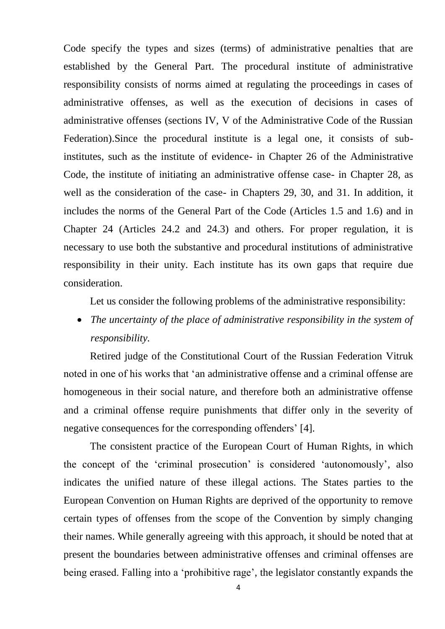Code specify the types and sizes (terms) of administrative penalties that are established by the General Part. The procedural institute of administrative responsibility consists of norms aimed at regulating the proceedings in cases of administrative offenses, as well as the execution of decisions in cases of administrative offenses (sections IV, V of the Administrative Code of the Russian Federation).Since the procedural institute is a legal one, it consists of subinstitutes, such as the institute of evidence- in Chapter 26 of the Administrative Code, the institute of initiating an administrative offense case- in Chapter 28, as well as the consideration of the case- in Chapters 29, 30, and 31. In addition, it includes the norms of the General Part of the Code (Articles 1.5 and 1.6) and in Chapter 24 (Articles 24.2 and 24.3) and others. For proper regulation, it is necessary to use both the substantive and procedural institutions of administrative responsibility in their unity. Each institute has its own gaps that require due consideration.

Let us consider the following problems of the administrative responsibility:

 *The uncertainty of the place of administrative responsibility in the system of responsibility.* 

Retired judge of the Constitutional Court of the Russian Federation Vitruk noted in one of his works that 'an administrative offense and a criminal offense are homogeneous in their social nature, and therefore both an administrative offense and a criminal offense require punishments that differ only in the severity of negative consequences for the corresponding offenders' [4].

The consistent practice of the European Court of Human Rights, in which the concept of the 'criminal prosecution' is considered 'autonomously', also indicates the unified nature of these illegal actions. The States parties to the European Convention on Human Rights are deprived of the opportunity to remove certain types of offenses from the scope of the Convention by simply changing their names. While generally agreeing with this approach, it should be noted that at present the boundaries between administrative offenses and criminal offenses are being erased. Falling into a 'prohibitive rage', the legislator constantly expands the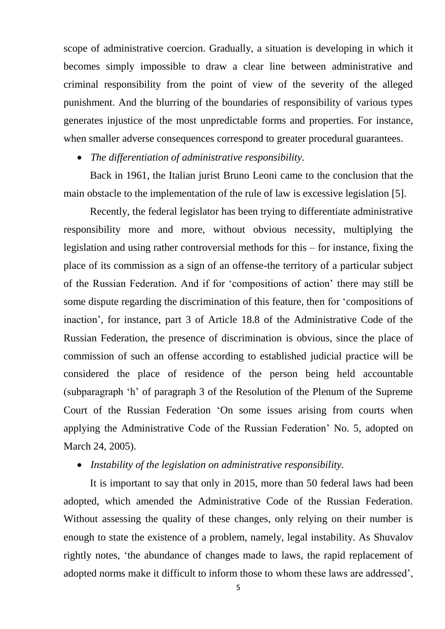scope of administrative coercion. Gradually, a situation is developing in which it becomes simply impossible to draw a clear line between administrative and criminal responsibility from the point of view of the severity of the alleged punishment. And the blurring of the boundaries of responsibility of various types generates injustice of the most unpredictable forms and properties. For instance, when smaller adverse consequences correspond to greater procedural guarantees.

*The differentiation of administrative responsibility.* 

Back in 1961, the Italian jurist Bruno Leoni came to the conclusion that the main obstacle to the implementation of the rule of law is excessive legislation [5].

Recently, the federal legislator has been trying to differentiate administrative responsibility more and more, without obvious necessity, multiplying the legislation and using rather controversial methods for this – for instance, fixing the place of its commission as a sign of an offense-the territory of a particular subject of the Russian Federation. And if for 'compositions of action' there may still be some dispute regarding the discrimination of this feature, then for 'compositions of inaction', for instance, part 3 of Article 18.8 of the Administrative Code of the Russian Federation, the presence of discrimination is obvious, since the place of commission of such an offense according to established judicial practice will be considered the place of residence of the person being held accountable (subparagraph 'h' of paragraph 3 of the Resolution of the Plenum of the Supreme Court of the Russian Federation 'On some issues arising from courts when applying the Administrative Code of the Russian Federation' No. 5, adopted on March 24, 2005).

*Instability of the legislation on administrative responsibility.* 

It is important to say that only in 2015, more than 50 federal laws had been adopted, which amended the Administrative Code of the Russian Federation. Without assessing the quality of these changes, only relying on their number is enough to state the existence of a problem, namely, legal instability. As Shuvalov rightly notes, 'the abundance of changes made to laws, the rapid replacement of adopted norms make it difficult to inform those to whom these laws are addressed',